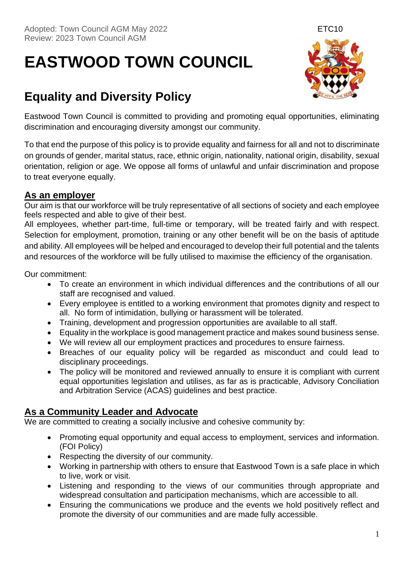# **EASTWOOD TOWN COUNCIL**

# **Equality and Diversity Policy**



Eastwood Town Council is committed to providing and promoting equal opportunities, eliminating discrimination and encouraging diversity amongst our community.

To that end the purpose of this policy is to provide equality and fairness for all and not to discriminate on grounds of gender, marital status, race, ethnic origin, nationality, national origin, disability, sexual orientation, religion or age. We oppose all forms of unlawful and unfair discrimination and propose to treat everyone equally.

### **As an employer**

Our aim is that our workforce will be truly representative of all sections of society and each employee feels respected and able to give of their best.

All employees, whether part-time, full-time or temporary, will be treated fairly and with respect. Selection for employment, promotion, training or any other benefit will be on the basis of aptitude and ability. All employees will be helped and encouraged to develop their full potential and the talents and resources of the workforce will be fully utilised to maximise the efficiency of the organisation.

Our commitment:

- To create an environment in which individual differences and the contributions of all our staff are recognised and valued.
- Every employee is entitled to a working environment that promotes dignity and respect to all. No form of intimidation, bullying or harassment will be tolerated.
- Training, development and progression opportunities are available to all staff.
- Equality in the workplace is good management practice and makes sound business sense.
- We will review all our employment practices and procedures to ensure fairness.
- Breaches of our equality policy will be regarded as misconduct and could lead to disciplinary proceedings.
- The policy will be monitored and reviewed annually to ensure it is compliant with current equal opportunities legislation and utilises, as far as is practicable, Advisory Conciliation and Arbitration Service (ACAS) guidelines and best practice.

## **As a Community Leader and Advocate**

We are committed to creating a socially inclusive and cohesive community by:

- Promoting equal opportunity and equal access to employment, services and information. (FOI Policy)
- Respecting the diversity of our community.
- Working in partnership with others to ensure that Eastwood Town is a safe place in which to live, work or visit.
- Listening and responding to the views of our communities through appropriate and widespread consultation and participation mechanisms, which are accessible to all.
- Ensuring the communications we produce and the events we hold positively reflect and promote the diversity of our communities and are made fully accessible.